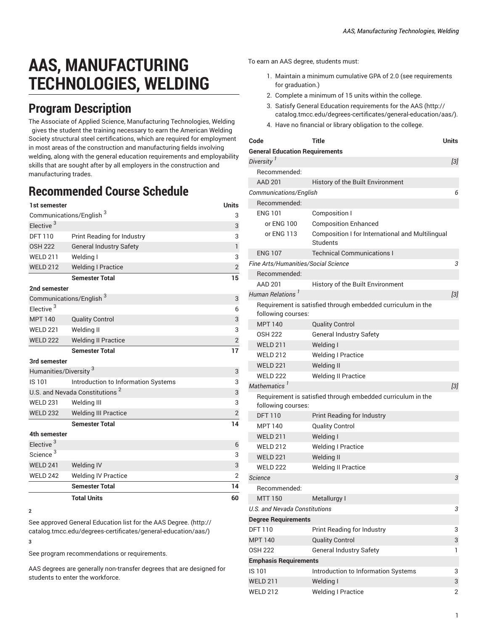## **AAS, MANUFACTURING TECHNOLOGIES, WELDING**

## **Program Description**

The Associate of Applied Science, Manufacturing Technologies, Welding gives the student the training necessary to earn the American Welding Society structural steel certifications, which are required for employment in most areas of the construction and manufacturing fields involving welding, along with the general education requirements and employability skills that are sought after by all employers in the construction and manufacturing trades.

## **Recommended Course Schedule**

| 1st semester                               |                                     | <b>Units</b>   |  |
|--------------------------------------------|-------------------------------------|----------------|--|
| Communications/English <sup>3</sup>        |                                     |                |  |
| Elective <sup>3</sup>                      |                                     | 3              |  |
| <b>DFT 110</b>                             | Print Reading for Industry          | 3              |  |
| <b>OSH 222</b>                             | <b>General Industry Safety</b>      | $\mathbf{1}$   |  |
| <b>WELD 211</b>                            | Welding I                           | 3              |  |
| <b>WELD 212</b>                            | <b>Welding I Practice</b>           | $\overline{2}$ |  |
|                                            | <b>Semester Total</b>               | 15             |  |
| 2nd semester                               |                                     |                |  |
| Communications/English <sup>3</sup>        | 3                                   |                |  |
| Elective <sup>3</sup>                      |                                     | 6              |  |
| <b>MPT 140</b>                             | <b>Quality Control</b>              | 3              |  |
| <b>WELD 221</b>                            | Welding II                          | 3              |  |
| <b>WELD 222</b>                            | <b>Welding II Practice</b>          | $\mathbf{2}$   |  |
|                                            | <b>Semester Total</b>               | 17             |  |
| 3rd semester                               |                                     |                |  |
| Humanities/Diversity <sup>3</sup>          |                                     |                |  |
| IS 101                                     | Introduction to Information Systems | 3              |  |
| U.S. and Nevada Constitutions <sup>2</sup> |                                     |                |  |
| <b>WELD 231</b>                            | Welding III                         | 3              |  |
| <b>WELD 232</b>                            | <b>Welding III Practice</b>         | $\overline{2}$ |  |
|                                            | <b>Semester Total</b>               | 14             |  |
| 4th semester                               |                                     |                |  |
| Elective <sup>3</sup>                      |                                     | 6              |  |
| Science <sup>3</sup>                       |                                     | 3              |  |
| WELD 241                                   | Welding IV                          | 3              |  |
| <b>WELD 242</b>                            | <b>Welding IV Practice</b>          | $\overline{2}$ |  |
|                                            | <b>Semester Total</b>               | 14             |  |
|                                            | <b>Total Units</b>                  | 60             |  |

**<sup>2</sup>**

See approved General [Education](http://catalog.tmcc.edu/degrees-certificates/general-education/aas/) list for the AAS Degree. [\(http://](http://catalog.tmcc.edu/degrees-certificates/general-education/aas/) [catalog.tmcc.edu/degrees-certificates/general-education/aas/\)](http://catalog.tmcc.edu/degrees-certificates/general-education/aas/) **3**

See program recommendations or requirements.

AAS degrees are generally non-transfer degrees that are designed for students to enter the workforce.

To earn an AAS degree, students must:

- 1. Maintain a minimum cumulative GPA of 2.0 (see requirements for graduation.)
- 2. Complete a minimum of 15 units within the college.
- 3. Satisfy General Education [requirements](http://catalog.tmcc.edu/degrees-certificates/general-education/aas/) for the AAS [\(http://](http://catalog.tmcc.edu/degrees-certificates/general-education/aas/) [catalog.tmcc.edu/degrees-certificates/general-education/aas/](http://catalog.tmcc.edu/degrees-certificates/general-education/aas/)).
- 4. Have no financial or library obligation to the college.

| Code                                  | Title                                                        | Units |
|---------------------------------------|--------------------------------------------------------------|-------|
| <b>General Education Requirements</b> |                                                              |       |
| Diversity <sup>I</sup>                |                                                              | $[3]$ |
| Recommended:                          |                                                              |       |
| <b>AAD 201</b>                        | History of the Built Environment                             |       |
| Communications/English                |                                                              | 6     |
| Recommended:                          |                                                              |       |
| <b>ENG 101</b>                        | Composition I                                                |       |
| or ENG 100                            | <b>Composition Enhanced</b>                                  |       |
| or ENG 113                            | Composition I for International and Multilingual<br>Students |       |
| <b>ENG 107</b>                        | <b>Technical Communications I</b>                            |       |
| Fine Arts/Humanities/Social Science   |                                                              | 3     |
| Recommended:                          |                                                              |       |
| <b>AAD 201</b>                        | History of the Built Environment                             |       |
| Human Relations <sup>1</sup>          |                                                              | $[3]$ |
| following courses:                    | Requirement is satisfied through embedded curriculum in the  |       |
| <b>MPT 140</b>                        | <b>Quality Control</b>                                       |       |
| <b>OSH 222</b>                        | General Industry Safety                                      |       |
| <b>WELD 211</b>                       | Welding I                                                    |       |
| <b>WFID 212</b>                       | <b>Welding I Practice</b>                                    |       |
| <b>WELD 221</b>                       | Welding II                                                   |       |
| <b>WELD 222</b>                       | <b>Welding II Practice</b>                                   |       |
| Mathematics <sup>1</sup>              |                                                              | $[3]$ |
| following courses:                    | Requirement is satisfied through embedded curriculum in the  |       |
| <b>DFT 110</b>                        | Print Reading for Industry                                   |       |
| <b>MPT 140</b>                        | <b>Quality Control</b>                                       |       |
| <b>WELD 211</b>                       | Welding I                                                    |       |
| <b>WELD 212</b>                       | <b>Welding I Practice</b>                                    |       |
| <b>WELD 221</b>                       | Welding II                                                   |       |
| <b>WELD 222</b>                       | <b>Welding II Practice</b>                                   |       |
| <b>Science</b>                        |                                                              | 3     |
| Recommended:                          |                                                              |       |
| <b>MTT 150</b>                        | Metallurgy I                                                 |       |
| <b>U.S. and Nevada Constitutions</b>  |                                                              | 3     |
| <b>Degree Requirements</b>            |                                                              |       |
| <b>DFT110</b>                         | Print Reading for Industry                                   | 3     |
| <b>MPT 140</b>                        | <b>Quality Control</b>                                       | 3     |
| OSH 222                               | General Industry Safety                                      | 1     |
| <b>Emphasis Requirements</b>          |                                                              |       |
| IS 101                                | Introduction to Information Systems                          | 3     |
| <b>WELD 211</b>                       | Welding I                                                    | 3     |
| <b>WELD 212</b>                       | <b>Welding I Practice</b>                                    | 2     |